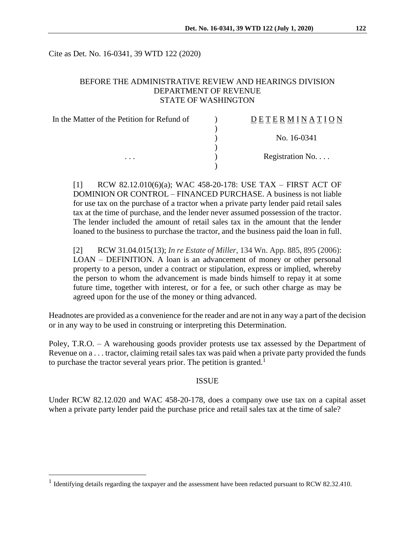Cite as Det. No. 16-0341, 39 WTD 122 (2020)

## BEFORE THE ADMINISTRATIVE REVIEW AND HEARINGS DIVISION DEPARTMENT OF REVENUE STATE OF WASHINGTON

| In the Matter of the Petition for Refund of | <b>DETERMINATION</b> |
|---------------------------------------------|----------------------|
|                                             | No. 16-0341          |
|                                             |                      |
| $\cdots$                                    | Registration No      |

[1] RCW 82.12.010(6)(a); WAC 458-20-178: USE TAX – FIRST ACT OF DOMINION OR CONTROL – FINANCED PURCHASE. A business is not liable for use tax on the purchase of a tractor when a private party lender paid retail sales tax at the time of purchase, and the lender never assumed possession of the tractor. The lender included the amount of retail sales tax in the amount that the lender loaned to the business to purchase the tractor, and the business paid the loan in full.

[2] RCW 31.04.015(13); *In re Estate of Miller*, 134 Wn. App. 885, 895 (2006): LOAN – DEFINITION. A loan is an advancement of money or other personal property to a person, under a contract or stipulation, express or implied, whereby the person to whom the advancement is made binds himself to repay it at some future time, together with interest, or for a fee, or such other charge as may be agreed upon for the use of the money or thing advanced.

Headnotes are provided as a convenience for the reader and are not in any way a part of the decision or in any way to be used in construing or interpreting this Determination.

Poley, T.R.O. – A warehousing goods provider protests use tax assessed by the Department of Revenue on a . . . tractor, claiming retail sales tax was paid when a private party provided the funds to purchase the tractor several years prior. The petition is granted.<sup>1</sup>

### ISSUE

Under RCW 82.12.020 and WAC 458-20-178, does a company owe use tax on a capital asset when a private party lender paid the purchase price and retail sales tax at the time of sale?

 $\overline{a}$ 

<sup>&</sup>lt;sup>1</sup> Identifying details regarding the taxpayer and the assessment have been redacted pursuant to RCW 82.32.410.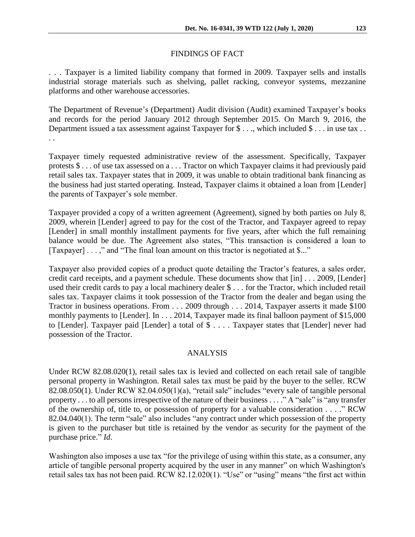## FINDINGS OF FACT

. . . Taxpayer is a limited liability company that formed in 2009. Taxpayer sells and installs industrial storage materials such as shelving, pallet racking, conveyor systems, mezzanine platforms and other warehouse accessories.

The Department of Revenue's (Department) Audit division (Audit) examined Taxpayer's books and records for the period January 2012 through September 2015. On March 9, 2016, the Department issued a tax assessment against Taxpayer for \$..., which included \$... in use tax.. . .

Taxpayer timely requested administrative review of the assessment. Specifically, Taxpayer protests \$ . . . of use tax assessed on a . . . Tractor on which Taxpayer claims it had previously paid retail sales tax. Taxpayer states that in 2009, it was unable to obtain traditional bank financing as the business had just started operating. Instead, Taxpayer claims it obtained a loan from [Lender] the parents of Taxpayer's sole member.

Taxpayer provided a copy of a written agreement (Agreement), signed by both parties on July 8, 2009, wherein [Lender] agreed to pay for the cost of the Tractor, and Taxpayer agreed to repay [Lender] in small monthly installment payments for five years, after which the full remaining balance would be due. The Agreement also states, "This transaction is considered a loan to [Taxpayer] . . . ," and "The final loan amount on this tractor is negotiated at \$..."

Taxpayer also provided copies of a product quote detailing the Tractor's features, a sales order, credit card receipts, and a payment schedule. These documents show that [in] . . . 2009, [Lender] used their credit cards to pay a local machinery dealer \$ . . . for the Tractor, which included retail sales tax. Taxpayer claims it took possession of the Tractor from the dealer and began using the Tractor in business operations. From . . . 2009 through . . . 2014, Taxpayer asserts it made \$100 monthly payments to [Lender]. In . . . 2014, Taxpayer made its final balloon payment of \$15,000 to [Lender]. Taxpayer paid [Lender] a total of \$ . . . . Taxpayer states that [Lender] never had possession of the Tractor.

## ANALYSIS

Under RCW 82.08.020(1), retail sales tax is levied and collected on each retail sale of tangible personal property in Washington. Retail sales tax must be paid by the buyer to the seller. RCW 82.08.050(1). Under RCW 82.04.050(1)(a), "retail sale" includes "every sale of tangible personal property . . . to all persons irrespective of the nature of their business . . . ." A "sale" is "any transfer of the ownership of, title to, or possession of property for a valuable consideration . . . ." RCW 82.04.040(1). The term "sale" also includes "any contract under which possession of the property is given to the purchaser but title is retained by the vendor as security for the payment of the purchase price." *Id*.

Washington also imposes a use tax "for the privilege of using within this state, as a consumer, any article of tangible personal property acquired by the user in any manner" on which Washington's retail sales tax has not been paid. RCW 82.12.020(1). "Use" or "using" means "the first act within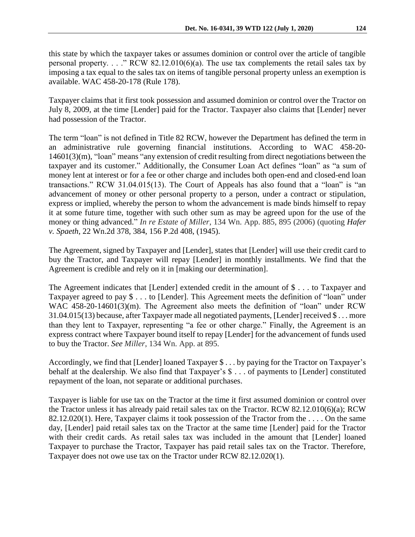this state by which the taxpayer takes or assumes dominion or control over the article of tangible personal property. . . ." RCW 82.12.010(6)(a). The use tax complements the retail sales tax by imposing a tax equal to the sales tax on items of tangible personal property unless an exemption is available. WAC 458-20-178 (Rule 178).

Taxpayer claims that it first took possession and assumed dominion or control over the Tractor on July 8, 2009, at the time [Lender] paid for the Tractor. Taxpayer also claims that [Lender] never had possession of the Tractor.

The term "loan" is not defined in Title 82 RCW, however the Department has defined the term in an administrative rule governing financial institutions. According to WAC 458-20- 14601(3)(m), "loan" means "any extension of credit resulting from direct negotiations between the taxpayer and its customer." Additionally, the Consumer Loan Act defines "loan" as "a sum of money lent at interest or for a fee or other charge and includes both open-end and closed-end loan transactions." RCW 31.04.015(13). The Court of Appeals has also found that a "loan" is "an advancement of money or other personal property to a person, under a contract or stipulation, express or implied, whereby the person to whom the advancement is made binds himself to repay it at some future time, together with such other sum as may be agreed upon for the use of the money or thing advanced." *In re Estate of Miller*, 134 Wn. App. 885, 895 (2006) (quoting *Hafer v. Spaeth*, 22 Wn.2d 378, 384, 156 P.2d 408, (1945).

The Agreement, signed by Taxpayer and [Lender], states that [Lender] will use their credit card to buy the Tractor, and Taxpayer will repay [Lender] in monthly installments. We find that the Agreement is credible and rely on it in [making our determination].

The Agreement indicates that [Lender] extended credit in the amount of \$ . . . to Taxpayer and Taxpayer agreed to pay \$ . . . to [Lender]. This Agreement meets the definition of "loan" under WAC 458-20-14601(3)(m). The Agreement also meets the definition of "loan" under RCW 31.04.015(13) because, after Taxpayer made all negotiated payments, [Lender] received \$ . . . more than they lent to Taxpayer, representing "a fee or other charge." Finally, the Agreement is an express contract where Taxpayer bound itself to repay [Lender] for the advancement of funds used to buy the Tractor. *See Miller*, 134 Wn. App. at 895.

Accordingly, we find that [Lender] loaned Taxpayer \$ . . . by paying for the Tractor on Taxpayer's behalf at the dealership. We also find that Taxpayer's \$ . . . of payments to [Lender] constituted repayment of the loan, not separate or additional purchases.

Taxpayer is liable for use tax on the Tractor at the time it first assumed dominion or control over the Tractor unless it has already paid retail sales tax on the Tractor. RCW 82.12.010(6)(a); RCW 82.12.020(1). Here, Taxpayer claims it took possession of the Tractor from the . . . . On the same day, [Lender] paid retail sales tax on the Tractor at the same time [Lender] paid for the Tractor with their credit cards. As retail sales tax was included in the amount that [Lender] loaned Taxpayer to purchase the Tractor, Taxpayer has paid retail sales tax on the Tractor. Therefore, Taxpayer does not owe use tax on the Tractor under RCW 82.12.020(1).